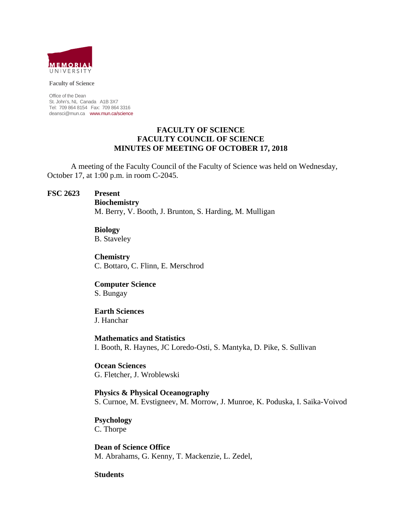

**Faculty of Science** 

Office of the Dean St. John's, NL Canada A1B 3X7 Tel: 709 864 8154 Fax: 709 864 3316 deansci@mun.ca www.mun.ca/science

### **FACULTY OF SCIENCE FACULTY COUNCIL OF SCIENCE MINUTES OF MEETING OF OCTOBER 17, 2018**

 A meeting of the Faculty Council of the Faculty of Science was held on Wednesday, October 17, at 1:00 p.m. in room C-2045.

### **FSC 2623 Present**

 **Biochemistry** M. Berry, V. Booth, J. Brunton, S. Harding, M. Mulligan

#### **Biology**

B. Staveley

 **Chemistry** C. Bottaro, C. Flinn, E. Merschrod

#### **Computer Science**

S. Bungay

## **Earth Sciences**

J. Hanchar

 **Mathematics and Statistics** I. Booth, R. Haynes, JC Loredo-Osti, S. Mantyka, D. Pike, S. Sullivan

 **Ocean Sciences** G. Fletcher, J. Wroblewski

 **Physics & Physical Oceanography** S. Curnoe, M. Evstigneev, M. Morrow, J. Munroe, K. Poduska, I. Saika-Voivod

### **Psychology**

C. Thorpe

 **Dean of Science Office** M. Abrahams, G. Kenny, T. Mackenzie, L. Zedel,

### **Students**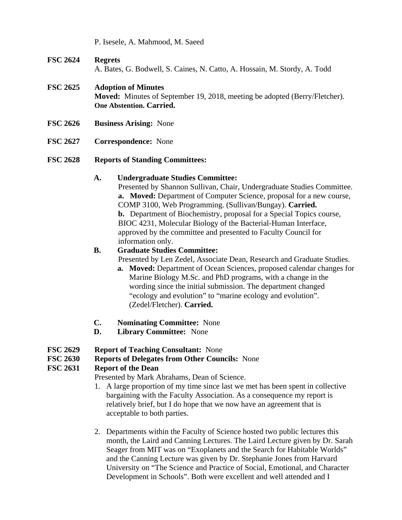P. Isesele, A. Mahmood, M. Saeed

# **FSC 2624 Regrets**

A. Bates, G. Bodwell, S. Caines, N. Catto, A. Hossain, M. Stordy, A. Todd

# **FSC 2625 Adoption of Minutes**

**Moved:** Minutes of September 19, 2018, meeting be adopted (Berry/Fletcher). **One Abstention. Carried.**

- **FSC 2626 Business Arising:** None
- **FSC 2627 Correspondence:** None

## **FSC 2628 Reports of Standing Committees:**

## **A. Undergraduate Studies Committee:**

Presented by Shannon Sullivan, Chair, Undergraduate Studies Committee. **a. Moved:** Department of Computer Science, proposal for a new course, COMP 3100, Web Programming. (Sullivan/Bungay). **Carried. b.** Department of Biochemistry, proposal for a Special Topics course, BIOC 4231, Molecular Biology of the Bacterial-Human Interface, approved by the committee and presented to Faculty Council for information only.

# **B. Graduate Studies Committee:**

Presented by Len Zedel, Associate Dean, Research and Graduate Studies.

- **a. Moved:** Department of Ocean Sciences, proposed calendar changes for Marine Biology M.Sc. and PhD programs, with a change in the wording since the initial submission. The department changed "ecology and evolution" to "marine ecology and evolution". (Zedel/Fletcher). **Carried.**
- **C. Nominating Committee:** None
- **D. Library Committee:** None

# **FSC 2629 Report of Teaching Consultant:** None

# **FSC 2630 Reports of Delegates from Other Councils:** None

# **FSC 2631 Report of the Dean**

Presented by Mark Abrahams, Dean of Science.

- 1. A large proportion of my time since last we met has been spent in collective bargaining with the Faculty Association. As a consequence my report is relatively brief, but I do hope that we now have an agreement that is acceptable to both parties.
- 2. Departments within the Faculty of Science hosted two public lectures this month, the Laird and Canning Lectures. The Laird Lecture given by Dr. Sarah Seager from MIT was on "Exoplanets and the Search for Habitable Worlds" and the Canning Lecture was given by Dr. Stephanie Jones from Harvard University on "The Science and Practice of Social, Emotional, and Character Development in Schools". Both were excellent and well attended and I